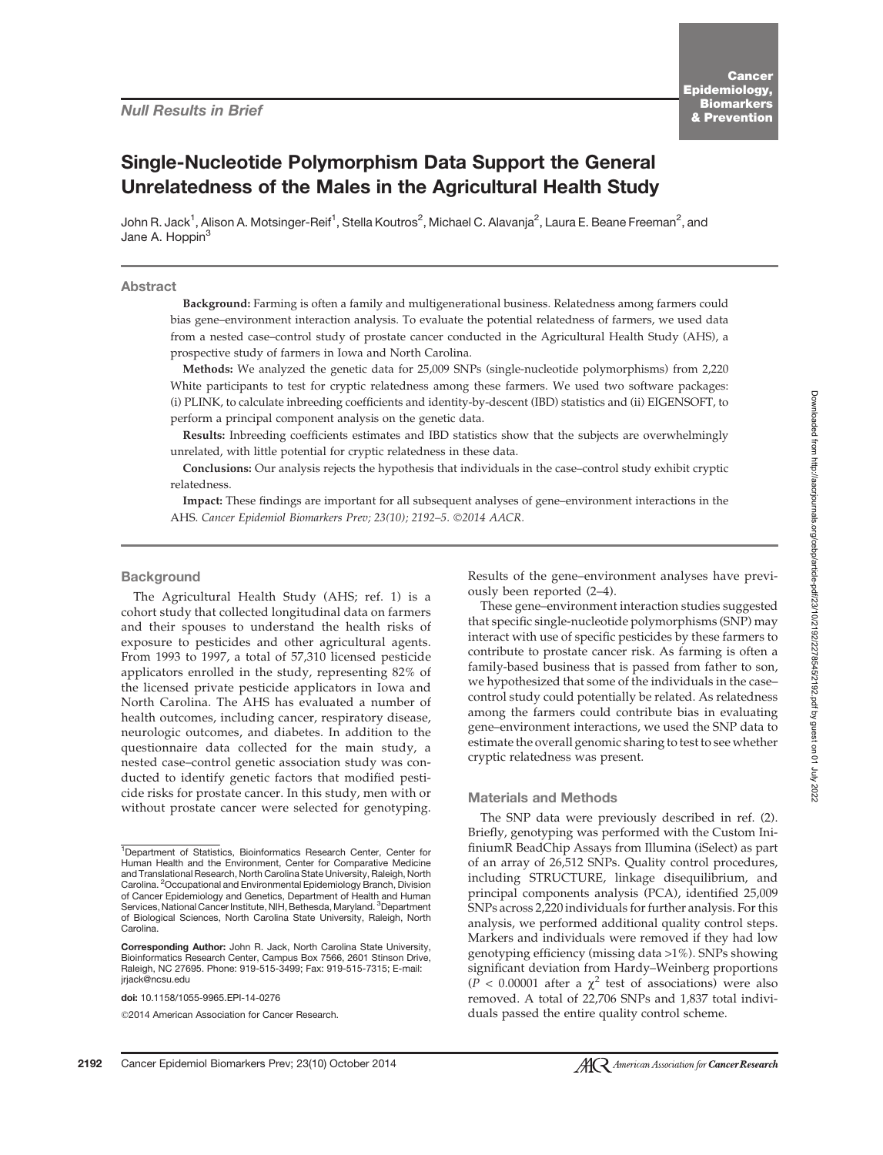# Single-Nucleotide Polymorphism Data Support the General Unrelatedness of the Males in the Agricultural Health Study

John R. Jack $^1$ , Alison A. Motsinger-Reif $^1$ , Stella Koutros $^2$ , Michael C. Alavanja $^2$ , Laura E. Beane Freeman $^2$ , and Jane A. Hoppin<sup>3</sup>

**Abstract** 

Background: Farming is often a family and multigenerational business. Relatedness among farmers could bias gene–environment interaction analysis. To evaluate the potential relatedness of farmers, we used data from a nested case–control study of prostate cancer conducted in the Agricultural Health Study (AHS), a prospective study of farmers in Iowa and North Carolina.

Methods: We analyzed the genetic data for 25,009 SNPs (single-nucleotide polymorphisms) from 2,220 White participants to test for cryptic relatedness among these farmers. We used two software packages: (i) PLINK, to calculate inbreeding coefficients and identity-by-descent (IBD) statistics and (ii) EIGENSOFT, to perform a principal component analysis on the genetic data.

Results: Inbreeding coefficients estimates and IBD statistics show that the subjects are overwhelmingly unrelated, with little potential for cryptic relatedness in these data.

Conclusions: Our analysis rejects the hypothesis that individuals in the case–control study exhibit cryptic relatedness.

Impact: These findings are important for all subsequent analyses of gene–environment interactions in the AHS. Cancer Epidemiol Biomarkers Prev; 23(10); 2192-5. ©2014 AACR.

### **Background**

The Agricultural Health Study (AHS; ref. 1) is a cohort study that collected longitudinal data on farmers and their spouses to understand the health risks of exposure to pesticides and other agricultural agents. From 1993 to 1997, a total of 57,310 licensed pesticide applicators enrolled in the study, representing 82% of the licensed private pesticide applicators in Iowa and North Carolina. The AHS has evaluated a number of health outcomes, including cancer, respiratory disease, neurologic outcomes, and diabetes. In addition to the questionnaire data collected for the main study, a nested case–control genetic association study was conducted to identify genetic factors that modified pesticide risks for prostate cancer. In this study, men with or without prostate cancer were selected for genotyping.

doi: 10.1158/1055-9965.EPI-14-0276

2014 American Association for Cancer Research.

Results of the gene–environment analyses have previously been reported (2–4).

These gene–environment interaction studies suggested that specific single-nucleotide polymorphisms (SNP) may interact with use of specific pesticides by these farmers to contribute to prostate cancer risk. As farming is often a family-based business that is passed from father to son, we hypothesized that some of the individuals in the case– control study could potentially be related. As relatedness among the farmers could contribute bias in evaluating gene–environment interactions, we used the SNP data to estimate the overall genomic sharing to test to see whether cryptic relatedness was present.

### Materials and Methods

The SNP data were previously described in ref. (2). Briefly, genotyping was performed with the Custom InifiniumR BeadChip Assays from Illumina (iSelect) as part of an array of 26,512 SNPs. Quality control procedures, including STRUCTURE, linkage disequilibrium, and principal components analysis (PCA), identified 25,009 SNPs across 2,220 individuals for further analysis. For this analysis, we performed additional quality control steps. Markers and individuals were removed if they had low genotyping efficiency (missing data >1%). SNPs showing significant deviation from Hardy–Weinberg proportions ( $\overline{P}$  < 0.00001 after a  $\chi^2$  test of associations) were also removed. A total of 22,706 SNPs and 1,837 total individuals passed the entire quality control scheme.

<sup>1</sup> Department of Statistics, Bioinformatics Research Center, Center for Human Health and the Environment, Center for Comparative Medicine and Translational Research, North Carolina State University, Raleigh, North Carolina. <sup>2</sup> Occupational and Environmental Epidemiology Branch, Division of Cancer Epidemiology and Genetics, Department of Health and Human Services, National Cancer Institute, NIH, Bethesda, Maryland. <sup>3</sup>Department of Biological Sciences, North Carolina State University, Raleigh, North Carolina.

Corresponding Author: John R. Jack, North Carolina State University, Bioinformatics Research Center, Campus Box 7566, 2601 Stinson Drive, Raleigh, NC 27695. Phone: 919-515-3499; Fax: 919-515-7315; E-mail: jrjack@ncsu.edu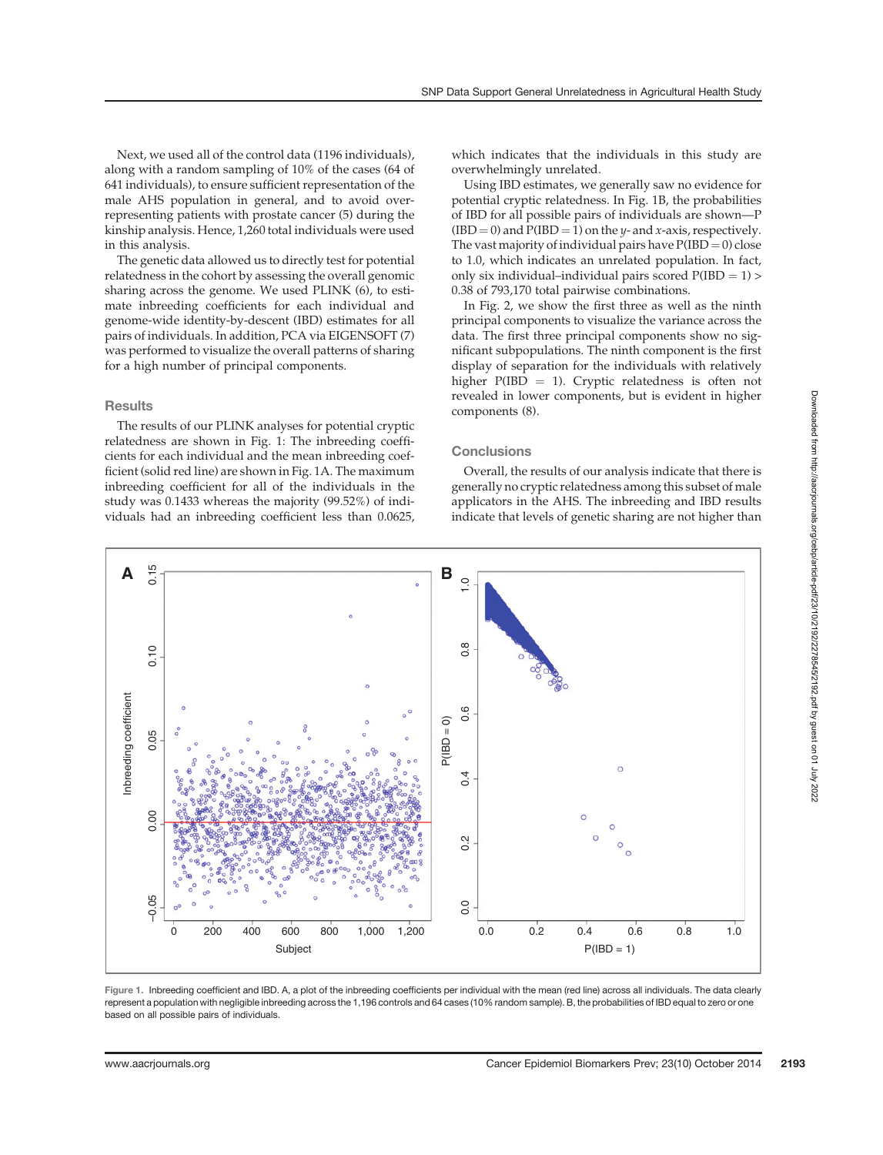Next, we used all of the control data (1196 individuals), along with a random sampling of 10% of the cases (64 of 641 individuals), to ensure sufficient representation of the male AHS population in general, and to avoid overrepresenting patients with prostate cancer (5) during the kinship analysis. Hence, 1,260 total individuals were used in this analysis.

The genetic data allowed us to directly test for potential relatedness in the cohort by assessing the overall genomic sharing across the genome. We used PLINK (6), to estimate inbreeding coefficients for each individual and genome-wide identity-by-descent (IBD) estimates for all pairs of individuals. In addition, PCA via EIGENSOFT (7) was performed to visualize the overall patterns of sharing for a high number of principal components.

## **Results**

The results of our PLINK analyses for potential cryptic relatedness are shown in Fig. 1: The inbreeding coefficients for each individual and the mean inbreeding coefficient (solid red line) are shown in Fig. 1A. The maximum inbreeding coefficient for all of the individuals in the study was 0.1433 whereas the majority (99.52%) of individuals had an inbreeding coefficient less than 0.0625,

which indicates that the individuals in this study are overwhelmingly unrelated.

Using IBD estimates, we generally saw no evidence for potential cryptic relatedness. In Fig. 1B, the probabilities of IBD for all possible pairs of individuals are shown—P  $(IBD = 0)$  and  $P(IBD = 1)$  on the y- and x-axis, respectively. The vast majority of individual pairs have  $P(IBD = 0)$  close to 1.0, which indicates an unrelated population. In fact, only six individual–individual pairs scored  $P(IBD = 1)$ 0.38 of 793,170 total pairwise combinations.

In Fig. 2, we show the first three as well as the ninth principal components to visualize the variance across the data. The first three principal components show no significant subpopulations. The ninth component is the first display of separation for the individuals with relatively higher  $P(IBD = 1)$ . Cryptic relatedness is often not revealed in lower components, but is evident in higher components (8).

### **Conclusions**

Overall, the results of our analysis indicate that there is generally no cryptic relatedness among this subset of male applicators in the AHS. The inbreeding and IBD results indicate that levels of genetic sharing are not higher than



Figure 1. Inbreeding coefficient and IBD. A, a plot of the inbreeding coefficients per individual with the mean (red line) across all individuals. The data clearly represent a population with negligible inbreeding across the 1,196 controls and 64 cases (10% random sample). B, the probabilities of IBD equal to zero or one based on all possible pairs of individuals.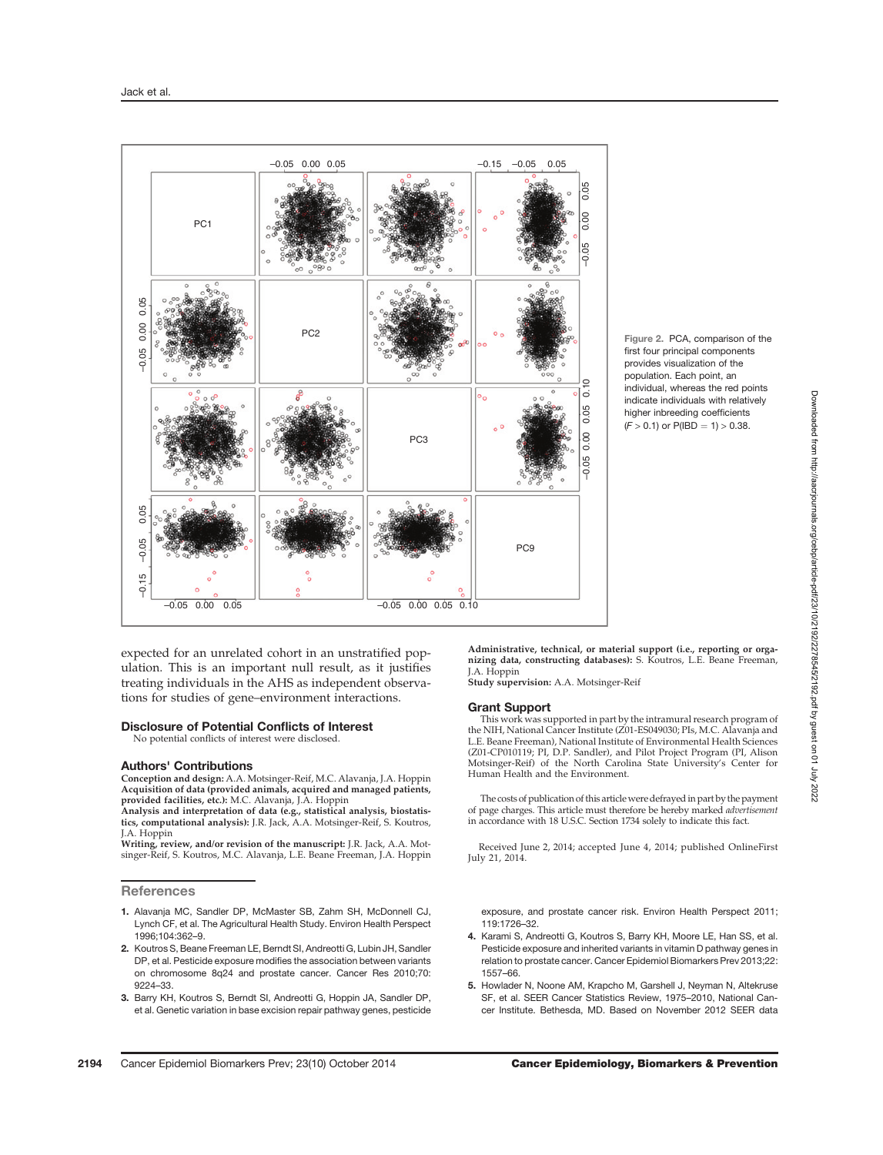

Figure 2. PCA, comparison of the first four principal components provides visualization of the population. Each point, an individual, whereas the red points indicate individuals with relatively higher inbreeding coefficients  $(F > 0.1)$  or P(IBD = 1) > 0.38.

expected for an unrelated cohort in an unstratified population. This is an important null result, as it justifies treating individuals in the AHS as independent observations for studies of gene–environment interactions.

#### Disclosure of Potential Conflicts of Interest

No potential conflicts of interest were disclosed.

#### Authors' Contributions

Conception and design: A.A. Motsinger-Reif, M.C. Alavanja, J.A. Hoppin Acquisition of data (provided animals, acquired and managed patients, provided facilities, etc.): M.C. Alavanja, J.A. Hoppin

Analysis and interpretation of data (e.g., statistical analysis, biostatis-tics, computational analysis): J.R. Jack, A.A. Motsinger-Reif, S. Koutros, J.A. Hoppin

Writing, review, and/or revision of the manuscript: J.R. Jack, A.A. Motsinger-Reif, S. Koutros, M.C. Alavanja, L.E. Beane Freeman, J.A. Hoppin

### **References**

- 1. Alavanja MC, Sandler DP, McMaster SB, Zahm SH, McDonnell CJ, Lynch CF, et al. The Agricultural Health Study. Environ Health Perspect 1996;104:362–9.
- 2. Koutros S, Beane Freeman LE, Berndt SI, Andreotti G, Lubin JH, Sandler DP, et al. Pesticide exposure modifies the association between variants on chromosome 8q24 and prostate cancer. Cancer Res 2010;70: 9224–33.
- 3. Barry KH, Koutros S, Berndt SI, Andreotti G, Hoppin JA, Sandler DP, et al. Genetic variation in base excision repair pathway genes, pesticide

Administrative, technical, or material support (i.e., reporting or organizing data, constructing databases): S. Koutros, L.E. Beane Freeman, J.A. Hoppin

## Study supervision: A.A. Motsinger-Reif

## Grant Support

This work was supported in part by the intramural research program of the NIH, National Cancer Institute (Z01-ES049030; PIs, M.C. Alavanja and L.E. Beane Freeman), National Institute of Environmental Health Sciences (Z01-CP010119; PI, D.P. Sandler), and Pilot Project Program (PI, Alison Motsinger-Reif) of the North Carolina State University's Center for Human Health and the Environment.

The costs of publication of this article were defrayed in part by the payment of page charges. This article must therefore be hereby marked advertisement in accordance with 18 U.S.C. Section 1734 solely to indicate this fact.

Received June 2, 2014; accepted June 4, 2014; published OnlineFirst July 21, 2014.

exposure, and prostate cancer risk. Environ Health Perspect 2011; 119:1726–32.

- 4. Karami S, Andreotti G, Koutros S, Barry KH, Moore LE, Han SS, et al. Pesticide exposure and inherited variants in vitamin D pathway genes in relation to prostate cancer. Cancer Epidemiol Biomarkers Prev 2013;22: 1557–66.
- 5. Howlader N, Noone AM, Krapcho M, Garshell J, Neyman N, Altekruse SF, et al. SEER Cancer Statistics Review, 1975–2010, National Cancer Institute. Bethesda, MD. Based on November 2012 SEER data